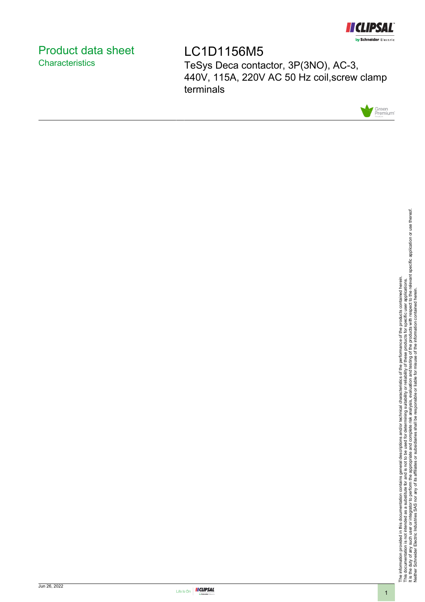

## <span id="page-0-0"></span>Product data sheet **Characteristics**

LC1D1156M5 TeSys Deca contactor, 3P(3NO), AC-3, 440V, 115A, 220V AC 50 Hz coil,screw clamp terminals



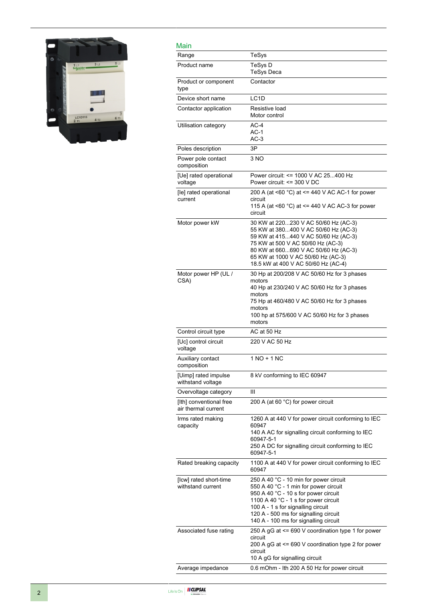

| Main                                           |                                                                                                                                                                                                                                                                                         |
|------------------------------------------------|-----------------------------------------------------------------------------------------------------------------------------------------------------------------------------------------------------------------------------------------------------------------------------------------|
| Range                                          | TeSys                                                                                                                                                                                                                                                                                   |
| Product name                                   | TeSys D<br><b>TeSys Deca</b>                                                                                                                                                                                                                                                            |
| Product or component<br>type                   | Contactor                                                                                                                                                                                                                                                                               |
| Device short name                              | LC <sub>1</sub> D                                                                                                                                                                                                                                                                       |
| Contactor application                          | Resistive load<br>Motor control                                                                                                                                                                                                                                                         |
| Utilisation category                           | $AC-4$<br>$AC-1$<br>$AC-3$                                                                                                                                                                                                                                                              |
| Poles description                              | 3P                                                                                                                                                                                                                                                                                      |
| Power pole contact<br>composition              | 3 NO                                                                                                                                                                                                                                                                                    |
| [Ue] rated operational<br>voltage              | Power circuit: <= 1000 V AC 25400 Hz<br>Power circuit: <= 300 V DC                                                                                                                                                                                                                      |
| [le] rated operational<br>current              | 200 A (at <60 °C) at <= 440 V AC AC-1 for power<br>circuit<br>115 A (at $\leq 60$ °C) at $\leq$ 440 V AC AC-3 for power<br>circuit                                                                                                                                                      |
| Motor power kW                                 | 30 KW at 220230 V AC 50/60 Hz (AC-3)<br>55 KW at 380400 V AC 50/60 Hz (AC-3)<br>59 KW at 415440 V AC 50/60 Hz (AC-3)<br>75 KW at 500 V AC 50/60 Hz (AC-3)<br>80 KW at 660690 V AC 50/60 Hz (AC-3)<br>65 KW at 1000 V AC 50/60 Hz (AC-3)<br>18.5 kW at 400 V AC 50/60 Hz (AC-4)          |
| Motor power HP (UL /<br>CSA)                   | 30 Hp at 200/208 V AC 50/60 Hz for 3 phases<br>motors<br>40 Hp at 230/240 V AC 50/60 Hz for 3 phases<br>motors<br>75 Hp at 460/480 V AC 50/60 Hz for 3 phases<br>motors<br>100 hp at 575/600 V AC 50/60 Hz for 3 phases<br>motors                                                       |
| Control circuit type                           | AC at 50 Hz                                                                                                                                                                                                                                                                             |
| [Uc] control circuit<br>voltage                | 220 V AC 50 Hz                                                                                                                                                                                                                                                                          |
| Auxiliary contact<br>composition               | 1 NO + 1 NC                                                                                                                                                                                                                                                                             |
| [Uimp] rated impulse<br>withstand voltage      | 8 kV conforming to IEC 60947                                                                                                                                                                                                                                                            |
| Overvoltage category                           | Ш                                                                                                                                                                                                                                                                                       |
| [Ith] conventional free<br>air thermal current | 200 A (at 60 °C) for power circuit                                                                                                                                                                                                                                                      |
| Irms rated making<br>capacity                  | 1260 A at 440 V for power circuit conforming to IEC<br>60947<br>140 A AC for signalling circuit conforming to IEC<br>60947-5-1<br>250 A DC for signalling circuit conforming to IEC<br>60947-5-1                                                                                        |
| Rated breaking capacity                        | 1100 A at 440 V for power circuit conforming to IEC<br>60947                                                                                                                                                                                                                            |
| [Icw] rated short-time<br>withstand current    | 250 A 40 °C - 10 min for power circuit<br>550 A 40 °C - 1 min for power circuit<br>950 A 40 °C - 10 s for power circuit<br>1100 A 40 °C - 1 s for power circuit<br>100 A - 1 s for signalling circuit<br>120 A - 500 ms for signalling circuit<br>140 A - 100 ms for signalling circuit |
| Associated fuse rating                         | 250 A gG at <= 690 V coordination type 1 for power<br>circuit<br>200 A gG at <= 690 V coordination type 2 for power<br>circuit<br>10 A gG for signalling circuit                                                                                                                        |
| Average impedance                              | 0.6 mOhm - Ith 200 A 50 Hz for power circuit                                                                                                                                                                                                                                            |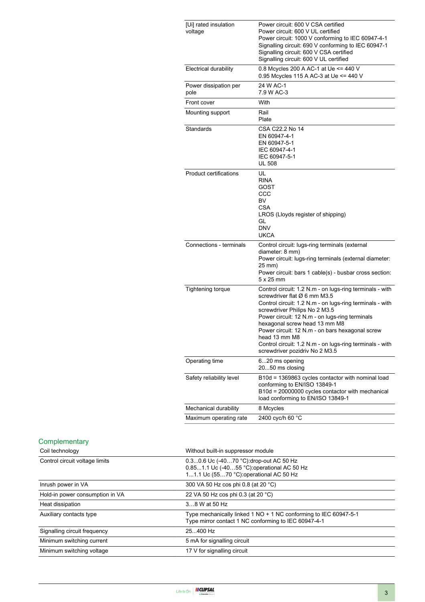| [Ui] rated insulation<br>voltage | Power circuit: 600 V CSA certified<br>Power circuit: 600 V UL certified<br>Power circuit: 1000 V conforming to IEC 60947-4-1<br>Signalling circuit: 690 V conforming to IEC 60947-1<br>Signalling circuit: 600 V CSA certified<br>Signalling circuit: 600 V UL certified                                                                                                                                                                   |
|----------------------------------|--------------------------------------------------------------------------------------------------------------------------------------------------------------------------------------------------------------------------------------------------------------------------------------------------------------------------------------------------------------------------------------------------------------------------------------------|
| <b>Electrical durability</b>     | 0.8 Mcycles 200 A AC-1 at Ue <= 440 V<br>0.95 Mcycles 115 A AC-3 at Ue <= 440 V                                                                                                                                                                                                                                                                                                                                                            |
| Power dissipation per<br>pole    | 24 W AC-1<br>7.9 W AC-3                                                                                                                                                                                                                                                                                                                                                                                                                    |
| Front cover                      | With                                                                                                                                                                                                                                                                                                                                                                                                                                       |
| Mounting support                 | Rail<br>Plate                                                                                                                                                                                                                                                                                                                                                                                                                              |
| Standards                        | CSA C22.2 No 14<br>EN 60947-4-1<br>EN 60947-5-1<br>IEC 60947-4-1<br>IEC 60947-5-1<br><b>UL 508</b>                                                                                                                                                                                                                                                                                                                                         |
| <b>Product certifications</b>    | UL<br><b>RINA</b><br>GOST<br>CCC<br>BV<br><b>CSA</b><br>LROS (Lloyds register of shipping)<br>GL<br><b>DNV</b><br><b>UKCA</b>                                                                                                                                                                                                                                                                                                              |
| Connections - terminals          | Control circuit: lugs-ring terminals (external<br>diameter: 8 mm)<br>Power circuit: lugs-ring terminals (external diameter:<br>25 mm)<br>Power circuit: bars 1 cable(s) - busbar cross section:<br>$5 \times 25$ mm                                                                                                                                                                                                                        |
| <b>Tightening torque</b>         | Control circuit: 1.2 N.m - on lugs-ring terminals - with<br>screwdriver flat Ø 6 mm M3.5<br>Control circuit: 1.2 N.m - on lugs-ring terminals - with<br>screwdriver Philips No 2 M3.5<br>Power circuit: 12 N.m - on lugs-ring terminals<br>hexagonal screw head 13 mm M8<br>Power circuit: 12 N.m - on bars hexagonal screw<br>head 13 mm M8<br>Control circuit: 1.2 N.m - on lugs-ring terminals - with<br>screwdriver pozidriv No 2 M3.5 |
| Operating time                   | 620 ms opening<br>2050 ms closing                                                                                                                                                                                                                                                                                                                                                                                                          |
| Safety reliability level         | B10d = 1369863 cycles contactor with nominal load<br>conforming to EN/ISO 13849-1<br>B10d = 20000000 cycles contactor with mechanical<br>load conforming to EN/ISO 13849-1                                                                                                                                                                                                                                                                 |
| Mechanical durability            | 8 Mcycles                                                                                                                                                                                                                                                                                                                                                                                                                                  |
| Maximum operating rate           | 2400 cyc/h 60 °C                                                                                                                                                                                                                                                                                                                                                                                                                           |

#### **Complementary**

| Coil technology                 | Without built-in suppressor module                                                                                               |
|---------------------------------|----------------------------------------------------------------------------------------------------------------------------------|
| Control circuit voltage limits  | 0.30.6 Uc (-4070 °C): drop-out AC 50 Hz<br>0.851.1 Uc (-4055 °C) operational AC 50 Hz<br>11.1 Uc (5570 °C): operational AC 50 Hz |
| Inrush power in VA              | 300 VA 50 Hz cos phi 0.8 (at 20 °C)                                                                                              |
| Hold-in power consumption in VA | 22 VA 50 Hz cos phi 0.3 (at 20 °C)                                                                                               |
| Heat dissipation                | 38 W at 50 Hz                                                                                                                    |
| Auxiliary contacts type         | Type mechanically linked 1 NO + 1 NC conforming to IEC 60947-5-1<br>Type mirror contact 1 NC conforming to IEC 60947-4-1         |
| Signalling circuit frequency    | 25.400 Hz                                                                                                                        |
| Minimum switching current       | 5 mA for signalling circuit                                                                                                      |
| Minimum switching voltage       | 17 V for signalling circuit                                                                                                      |